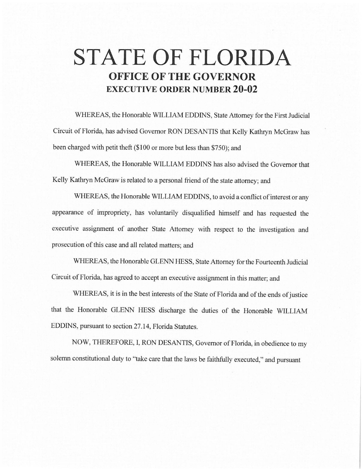## **STATE OF FLORIDA OFFICE OF THE GOVERNOR EXECUTIVE ORDER NUMBER 20-02**

WHEREAS, the Honorable WILLIAM EDDINS, State Attorney for the First Judicial Circuit of Florida, has advised Governor RON DESANTIS that Kelly Kathryn McGraw has been charged with petit theft (\$100 or more but less than \$750); and

WHEREAS, the Honorable WILLIAM EDDINS has also advised the Governor that Kelly Kathryn McGraw is related to a personal friend of the state attorney; and

WHEREAS, the Honorable WILLIAM EDDINS, to avoid a conflict of interest or any appearance of impropriety, has voluntarily disqualified himself and has requested the executive assignment of another State Attorney with respect to the investigation and prosecution of this case and all related matters; and

WHEREAS, the Honorable GLENN HESS, State Attorney for the Fourteenth Judicial Circuit of Florida, has agreed to accept an executive assignment in this matter; and

WHEREAS, it is in the best interests of the State of Florida and of the ends of justice that the Honorable GLENN HESS discharge the duties of the Honorable WILLIAM EDDINS, pursuant to section 27.14, Florida Statutes.

NOW, THEREFORE, I, RON DESANTIS, Governor of Florida, in obedience to my solemn constitutional duty to "take care that the laws be faithfully executed," and pursuant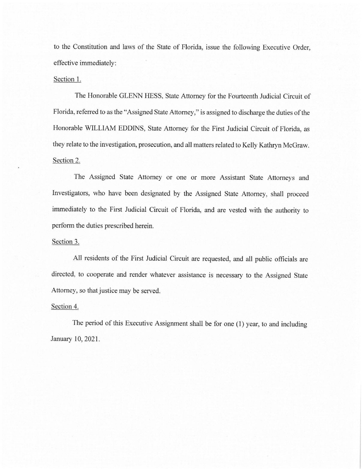to the Constitution and laws of the State of Florida, issue the following Executive Order, effective immediately:

## Section 1.

The Honorable GLENN HESS, State Attorney for the Fourteenth Judicial Circuit of Florida, referred to as the "Assigned State Attorney," is assigned to discharge the duties of the Honorable WILLIAM EDDINS, State Attorney for the First Judicial Circuit of Florida, as they relate to the investigation, prosecution, and all matters related to Kelly Kathryn McGraw. Section 2.

The Assigned State Attorney or one or more Assistant State Attorneys and Investigators, who have been designated by the Assigned State Attorney, shall proceed immediately to the First Judicial Circuit of Florida, and are vested with the authority to perform the duties prescribed herein.

## Section 3.

All residents of the First Judicial Circuit are requested, and all public officials are directed, to cooperate and render whatever assistance is necessary to the Assigned State Attorney, so that justice may be served.

## Section 4.

The period of this Executive Assignment shall be for one (I) year, to and including January 10, 2021.